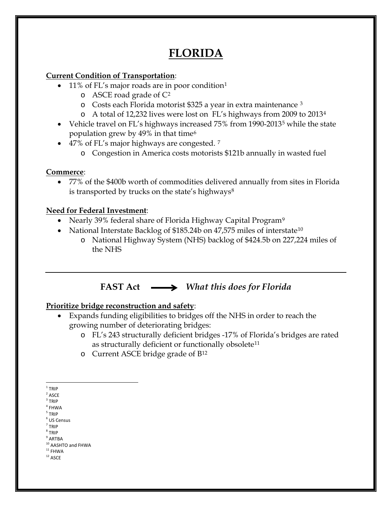# **FLORIDA**

## **Current Condition of Transportation**:

- [1](#page-0-0)1% of FL's major roads are in poor condition<sup>1</sup>
	- o ASCE road grade of C[2](#page-0-1)
	- o Costs each Florida motorist \$325 a year in extra maintenance [3](#page-0-2)
	- o A total of 12,232 lives were lost on FL's highways from 2009 to 2013[4](#page-0-3)
- Vehicle travel on FL's highways increased 7[5](#page-0-4)% from 1990-2013<sup>5</sup> while the state population grew by 49% in that time[6](#page-0-5)
- 4[7](#page-0-6)% of FL's major highways are congested. 7
	- o Congestion in America costs motorists \$121b annually in wasted fuel

### **Commerce**:

• 77% of the \$400b worth of commodities delivered annually from sites in Florida is transported by trucks on the state's highways $\frac{8}{3}$  $\frac{8}{3}$  $\frac{8}{3}$ 

### **Need for Federal Investment**:

- Nearly 3[9](#page-0-8)% federal share of Florida Highway Capital Program<sup>9</sup>
- National Interstate Backlog of \$185.24b on 47,575 miles of interstate<sup>[10](#page-0-9)</sup>
	- o National Highway System (NHS) backlog of \$424.5b on 227,224 miles of the NHS

# **FAST Act** *What this does for Florida*

# **Prioritize bridge reconstruction and safety**:

- Expands funding eligibilities to bridges off the NHS in order to reach the growing number of deteriorating bridges:
	- o FL's 243 structurally deficient bridges -17% of Florida's bridges are rated as structurally deficient or functionally obsolete<sup>[11](#page-0-10)</sup>
	- o Current ASCE bridge grade of B[12](#page-0-11)

- 
- <span id="page-0-5"></span> $<sup>6</sup>$  US Census</sup>  $<sup>7</sup>$  TRIP</sup>
- <span id="page-0-6"></span><sup>8</sup> TRIP
- <span id="page-0-8"></span><span id="page-0-7"></span> $^9$  ARTBA

- <span id="page-0-10"></span>
- <span id="page-0-11"></span> $^{\rm 12}$  ASCE

<span id="page-0-0"></span> $1$  TRIP

<span id="page-0-1"></span> $2$  ASCE

<span id="page-0-2"></span> $3$  TRIP

<span id="page-0-4"></span><span id="page-0-3"></span> $<sup>4</sup>$  FHWA<br> $<sup>5</sup>$  TRIP</sup></sup>

<span id="page-0-9"></span> $10$  AASHTO and FHWA<br> $11$  FHWA